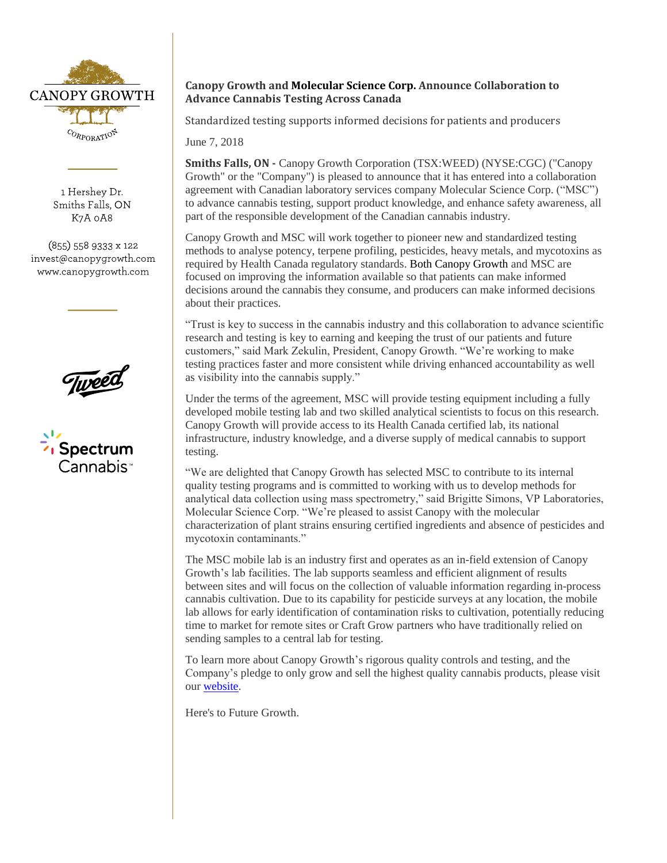

1 Hershey Dr. Smiths Falls, ON K7A 0A8

 $(855)$  558 9333 x 122 invest@canopygrowth.com www.canopygrowth.com



Spectrum Spectrum Cannabis<sup>,</sup>

## **Canopy Growth and Molecular Science Corp. Announce Collaboration to Advance Cannabis Testing Across Canada**

Standardized testing supports informed decisions for patients and producers

June 7, 2018

**Smiths Falls, ON -** Canopy Growth Corporation (TSX:WEED) (NYSE:CGC) ("Canopy Growth" or the "Company") is pleased to announce that it has entered into a collaboration agreement with Canadian laboratory services company Molecular Science Corp. ("MSC") to advance cannabis testing, support product knowledge, and enhance safety awareness, all part of the responsible development of the Canadian cannabis industry.

Canopy Growth and MSC will work together to pioneer new and standardized testing methods to analyse potency, terpene profiling, pesticides, heavy metals, and mycotoxins as required by Health Canada regulatory standards. Both Canopy Growth and MSC are focused on improving the information available so that patients can make informed decisions around the cannabis they consume, and producers can make informed decisions about their practices.

"Trust is key to success in the cannabis industry and this collaboration to advance scientific research and testing is key to earning and keeping the trust of our patients and future customers," said Mark Zekulin, President, Canopy Growth. "We're working to make testing practices faster and more consistent while driving enhanced accountability as well as visibility into the cannabis supply."

Under the terms of the agreement, MSC will provide testing equipment including a fully developed mobile testing lab and two skilled analytical scientists to focus on this research. Canopy Growth will provide access to its Health Canada certified lab, its national infrastructure, industry knowledge, and a diverse supply of medical cannabis to support testing.

"We are delighted that Canopy Growth has selected MSC to contribute to its internal quality testing programs and is committed to working with us to develop methods for analytical data collection using mass spectrometry," said Brigitte Simons, VP Laboratories, Molecular Science Corp. "We're pleased to assist Canopy with the molecular characterization of plant strains ensuring certified ingredients and absence of pesticides and mycotoxin contaminants."

The MSC mobile lab is an industry first and operates as an in-field extension of Canopy Growth's lab facilities. The lab supports seamless and efficient alignment of results between sites and will focus on the collection of valuable information regarding in-process cannabis cultivation. Due to its capability for pesticide surveys at any location, the mobile lab allows for early identification of contamination risks to cultivation, potentially reducing time to market for remote sites or Craft Grow partners who have traditionally relied on sending samples to a central lab for testing.

To learn more about Canopy Growth's rigorous quality controls and testing, and the Company's pledge to only grow and sell the highest quality cannabis products, please visit ou[r website.](https://www.tweedmainstreet.com/pages/quality-assurance)

Here's to Future Growth.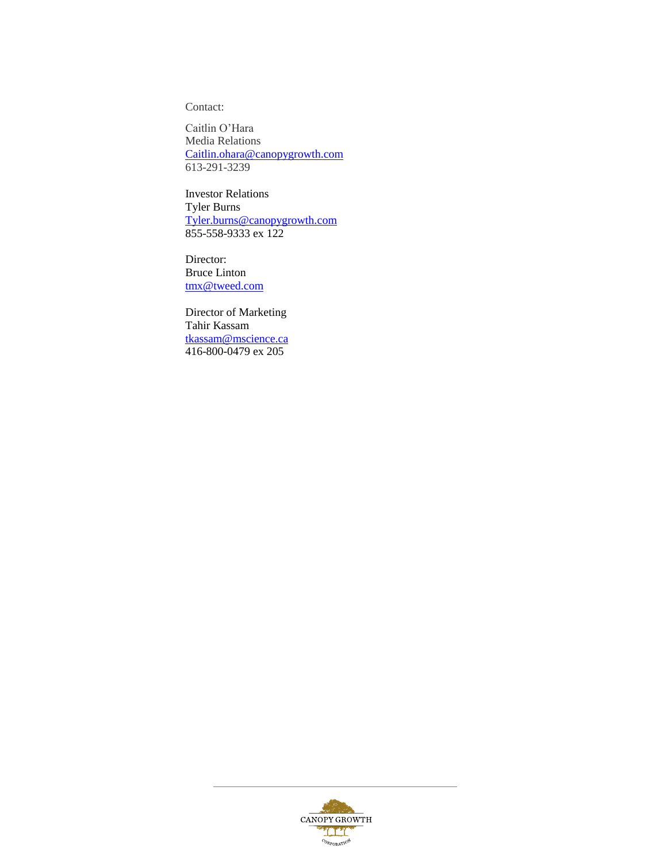Contact:

Caitlin O'Hara Media Relations [Caitlin.ohara@canopygrowth.com](mailto:Caitlin.ohara@canopygrowth.com) 613-291-3239

Investor Relations Tyler Burns [Tyler.burns@canopygrowth.com](mailto:Tyler.burns@canopygrowth.com) 855-558-9333 ex 122

Director: Bruce Linton [tmx@tweed.com](mailto:tmx@tweed.com)

Director of Marketing Tahir Kassam [tkassam@mscience.ca](mailto:tkassam@mscience.ca) 416-800-0479 ex 205